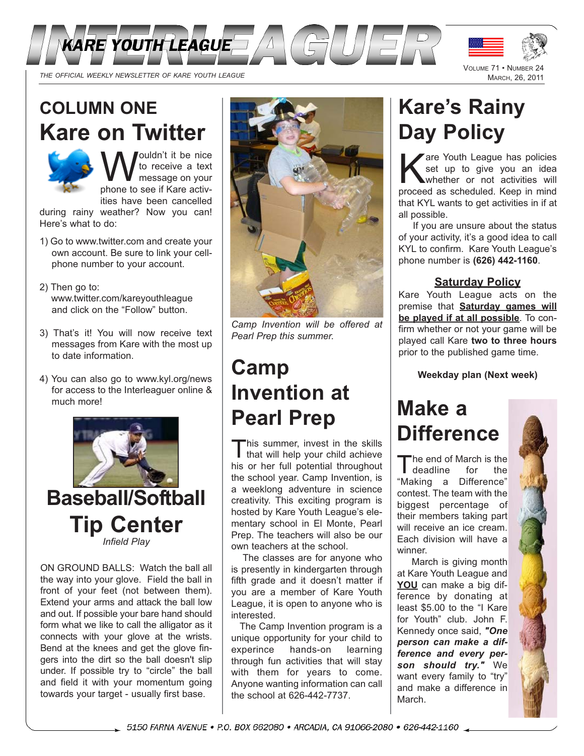



# **COLUMN ONE Kare on Twitter**



**W** to receive a text<br>phone to see if Kare activto receive a text message on your ities have been cancelled

during rainy weather? Now you can! Here's what to do:

- 1) Go to www.twitter.com and create your own account. Be sure to link your cellphone number to your account.
- 2) Then go to: www.twitter.com/kareyouthleague and click on the "Follow" button.
- 3) That's it! You will now receive text messages from Kare with the most up to date information.
- 4) You can also go to www.kyl.org/news for access to the Interleaguer online & much more!



ON GROUND BALLS: Watch the ball all the way into your glove. Field the ball in front of your feet (not between them). Extend your arms and attack the ball low and out. If possible your bare hand should form what we like to call the alligator as it connects with your glove at the wrists. Bend at the knees and get the glove fingers into the dirt so the ball doesn't slip under. If possible try to "circle" the ball and field it with your momentum going towards your target - usually first base.



*Camp Invention will be offered at Pearl Prep this summer.*

# **Camp Invention at Pearl Prep**

This summer, invest in the skills<br>that will help your child achieve his or her full potential throughout the school year. Camp Invention, is a weeklong adventure in science creativity. This exciting program is hosted by Kare Youth League's elementary school in El Monte, Pearl Prep. The teachers will also be our own teachers at the school.

The classes are for anyone who is presently in kindergarten through fifth grade and it doesn't matter if you are a member of Kare Youth League, it is open to anyone who is interested.

The Camp Invention program is a unique opportunity for your child to experince hands-on learning through fun activities that will stay with them for years to come. Anyone wanting information can call the school at 626-442-7737.

# **Kare's Rainy Day Policy**

**Zare Youth League has policies** set up to give you an idea whether or not activities will proceed as scheduled. Keep in mind that KYL wants to get activities in if at all possible.

If you are unsure about the status of your activity, it's a good idea to call KYL to confirm. Kare Youth League's phone number is **(626) 442-1160**.

### **Saturday Policy**

Kare Youth League acts on the premise that **Saturday games will be played if at all possible**. To confirm whether or not your game will be played call Kare **two to three hours** prior to the published game time.

**Weekday plan (Next week)**

# **Make a Difference**

**The end of March is the<br>deadline** for the deadline for "Making a Difference" contest. The team with the biggest percentage of their members taking part will receive an ice cream. Each division will have a winner.

March is giving month at Kare Youth League and **YOU** can make a big difference by donating at least \$5.00 to the "I Kare for Youth" club. John F. Kennedy once said, *"One person can make a difference and every person should try."* We want every family to "try" and make a difference in March.